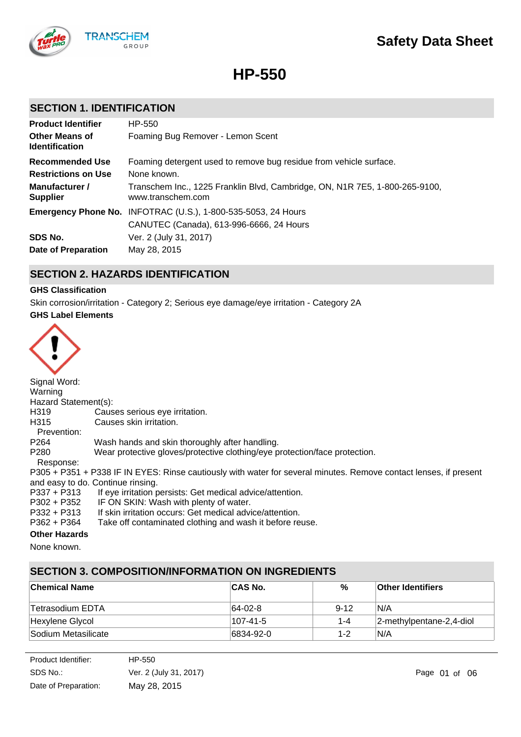

**HP-550**

## **SECTION 1. IDENTIFICATION**

| <b>Product Identifier</b><br><b>Other Means of</b><br><b>Identification</b>               | HP-550<br>Foaming Bug Remover - Lemon Scent                                                                                                                                           |
|-------------------------------------------------------------------------------------------|---------------------------------------------------------------------------------------------------------------------------------------------------------------------------------------|
| <b>Recommended Use</b><br><b>Restrictions on Use</b><br>Manufacturer /<br><b>Supplier</b> | Foaming detergent used to remove bug residue from vehicle surface.<br>None known.<br>Transchem Inc., 1225 Franklin Blvd, Cambridge, ON, N1R 7E5, 1-800-265-9100,<br>www.transchem.com |
| SDS No.<br><b>Date of Preparation</b>                                                     | <b>Emergency Phone No. INFOTRAC (U.S.), 1-800-535-5053, 24 Hours</b><br>CANUTEC (Canada), 613-996-6666, 24 Hours<br>Ver. 2 (July 31, 2017)<br>May 28, 2015                            |

# **SECTION 2. HAZARDS IDENTIFICATION**

### **GHS Classification**

Skin corrosion/irritation - Category 2; Serious eye damage/eye irritation - Category 2A

### **GHS Label Elements**



Signal Word: Warning Hazard Statement(s): H319 Causes serious eye irritation. H315 Causes skin irritation. Prevention: P264 Wash hands and skin thoroughly after handling. P280 Wear protective gloves/protective clothing/eye protection/face protection. Response: P305 + P351 + P338 IF IN EYES: Rinse cautiously with water for several minutes. Remove contact lenses, if present and easy to do. Continue rinsing.<br>P337 + P313 If eye irritation p P337 + P313 If eye irritation persists: Get medical advice/attention.<br>P302 + P352 IF ON SKIN: Wash with plenty of water. IF ON SKIN: Wash with plenty of water.

P332 + P313 If skin irritation occurs: Get medical advice/attention.<br>P362 + P364 Take off contaminated clothing and wash it before re

Take off contaminated clothing and wash it before reuse.

## **Other Hazards**

None known.

# **SECTION 3. COMPOSITION/INFORMATION ON INGREDIENTS**

| ∣Chemical Name      | <b>CAS No.</b> | %        | ∣Other Identifiers           |
|---------------------|----------------|----------|------------------------------|
| ∣Tetrasodium EDTA   | 64-02-8        | $9 - 12$ | IN/A                         |
| Hexylene Glycol     | 107-41-5       | $1 - 4$  | $ 2$ -methylpentane-2,4-diol |
| Sodium Metasilicate | 6834-92-0      | $1 - 2$  | N/A                          |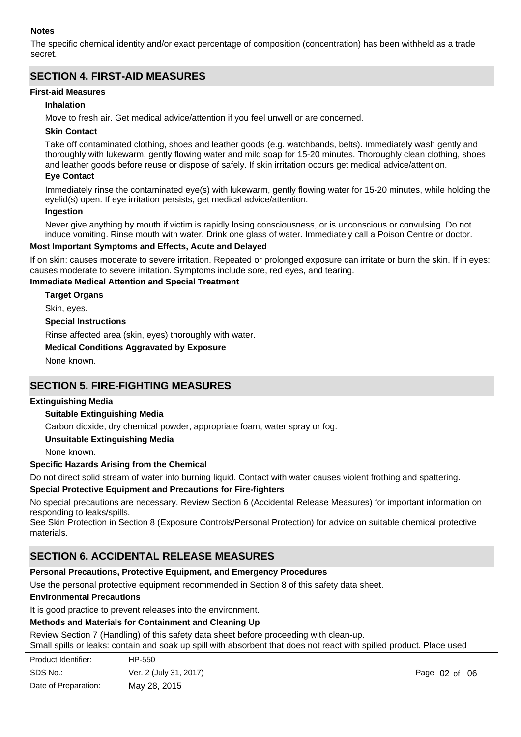### **Notes**

The specific chemical identity and/or exact percentage of composition (concentration) has been withheld as a trade secret.

# **SECTION 4. FIRST-AID MEASURES**

### **First-aid Measures**

### **Inhalation**

Move to fresh air. Get medical advice/attention if you feel unwell or are concerned.

### **Skin Contact**

Take off contaminated clothing, shoes and leather goods (e.g. watchbands, belts). Immediately wash gently and thoroughly with lukewarm, gently flowing water and mild soap for 15-20 minutes. Thoroughly clean clothing, shoes and leather goods before reuse or dispose of safely. If skin irritation occurs get medical advice/attention.

### **Eye Contact**

Immediately rinse the contaminated eye(s) with lukewarm, gently flowing water for 15-20 minutes, while holding the eyelid(s) open. If eye irritation persists, get medical advice/attention.

### **Ingestion**

Never give anything by mouth if victim is rapidly losing consciousness, or is unconscious or convulsing. Do not induce vomiting. Rinse mouth with water. Drink one glass of water. Immediately call a Poison Centre or doctor.

### **Most Important Symptoms and Effects, Acute and Delayed**

If on skin: causes moderate to severe irritation. Repeated or prolonged exposure can irritate or burn the skin. If in eyes: causes moderate to severe irritation. Symptoms include sore, red eyes, and tearing.

### **Immediate Medical Attention and Special Treatment**

**Target Organs**

Skin, eyes.

**Special Instructions**

Rinse affected area (skin, eyes) thoroughly with water.

### **Medical Conditions Aggravated by Exposure**

None known.

## **SECTION 5. FIRE-FIGHTING MEASURES**

### **Extinguishing Media**

### **Suitable Extinguishing Media**

Carbon dioxide, dry chemical powder, appropriate foam, water spray or fog.

**Unsuitable Extinguishing Media**

None known.

### **Specific Hazards Arising from the Chemical**

Do not direct solid stream of water into burning liquid. Contact with water causes violent frothing and spattering.

### **Special Protective Equipment and Precautions for Fire-fighters**

No special precautions are necessary. Review Section 6 (Accidental Release Measures) for important information on responding to leaks/spills.

See Skin Protection in Section 8 (Exposure Controls/Personal Protection) for advice on suitable chemical protective materials.

# **SECTION 6. ACCIDENTAL RELEASE MEASURES**

### **Personal Precautions, Protective Equipment, and Emergency Procedures**

Use the personal protective equipment recommended in Section 8 of this safety data sheet.

### **Environmental Precautions**

It is good practice to prevent releases into the environment.

### **Methods and Materials for Containment and Cleaning Up**

Review Section 7 (Handling) of this safety data sheet before proceeding with clean-up. Small spills or leaks: contain and soak up spill with absorbent that does not react with spilled product. Place used

| Product Identifier:  | HP-550                 |      |
|----------------------|------------------------|------|
| SDS No.:             | Ver. 2 (July 31, 2017) | Page |
| Date of Preparation: | May 28, 2015           |      |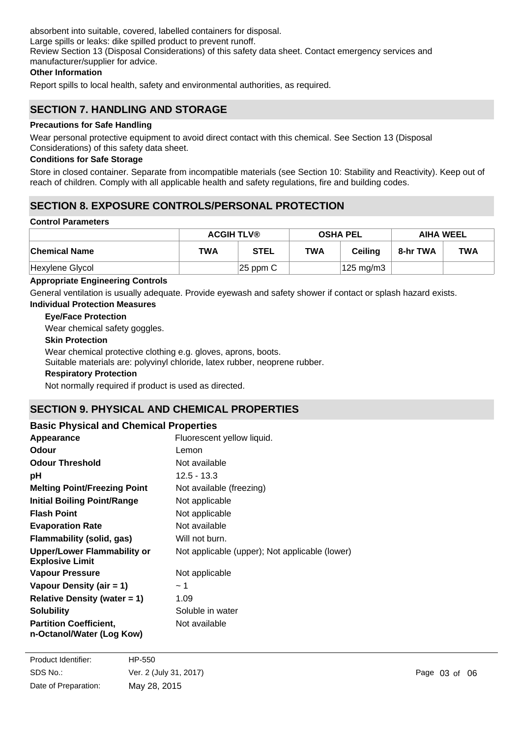absorbent into suitable, covered, labelled containers for disposal. Large spills or leaks: dike spilled product to prevent runoff. Review Section 13 (Disposal Considerations) of this safety data sheet. Contact emergency services and manufacturer/supplier for advice.

### **Other Information**

Report spills to local health, safety and environmental authorities, as required.

## **SECTION 7. HANDLING AND STORAGE**

### **Precautions for Safe Handling**

Wear personal protective equipment to avoid direct contact with this chemical. See Section 13 (Disposal Considerations) of this safety data sheet.

### **Conditions for Safe Storage**

Store in closed container. Separate from incompatible materials (see Section 10: Stability and Reactivity). Keep out of reach of children. Comply with all applicable health and safety regulations, fire and building codes.

# **SECTION 8. EXPOSURE CONTROLS/PERSONAL PROTECTION**

### **Control Parameters**

|                      | <b>ACGIH TLV®</b> |             | <b>OSHA PEL</b> |                    | <b>AIHA WEEL</b> |            |
|----------------------|-------------------|-------------|-----------------|--------------------|------------------|------------|
| <b>Chemical Name</b> | <b>TWA</b>        | <b>STEL</b> | <b>TWA</b>      | <b>Ceiling</b>     | 8-hr TWA         | <b>TWA</b> |
| Hexylene Glycol      |                   | $ 25$ ppm C |                 | $125 \text{ mg/m}$ |                  |            |

### **Appropriate Engineering Controls**

General ventilation is usually adequate. Provide eyewash and safety shower if contact or splash hazard exists.

### **Individual Protection Measures**

### **Eye/Face Protection**

Wear chemical safety goggles.

### **Skin Protection**

Wear chemical protective clothing e.g. gloves, aprons, boots.

Suitable materials are: polyvinyl chloride, latex rubber, neoprene rubber.

### **Respiratory Protection**

Not normally required if product is used as directed.

## **SECTION 9. PHYSICAL AND CHEMICAL PROPERTIES**

| <b>Basic Physical and Chemical Properties</b>                |                                                |  |  |  |
|--------------------------------------------------------------|------------------------------------------------|--|--|--|
| Appearance                                                   | Fluorescent yellow liquid.                     |  |  |  |
| Odour                                                        | Lemon                                          |  |  |  |
| <b>Odour Threshold</b>                                       | Not available                                  |  |  |  |
| рH                                                           | $12.5 - 13.3$                                  |  |  |  |
| <b>Melting Point/Freezing Point</b>                          | Not available (freezing)                       |  |  |  |
| <b>Initial Boiling Point/Range</b>                           | Not applicable                                 |  |  |  |
| <b>Flash Point</b>                                           | Not applicable                                 |  |  |  |
| <b>Evaporation Rate</b>                                      | Not available                                  |  |  |  |
| Flammability (solid, gas)                                    | Will not burn.                                 |  |  |  |
| <b>Upper/Lower Flammability or</b><br><b>Explosive Limit</b> | Not applicable (upper); Not applicable (lower) |  |  |  |
| Vapour Pressure                                              | Not applicable                                 |  |  |  |
| Vapour Density (air = 1)                                     | ~1~                                            |  |  |  |
| Relative Density (water $= 1$ )                              | 1.09                                           |  |  |  |
| <b>Solubility</b>                                            | Soluble in water                               |  |  |  |
| <b>Partition Coefficient,</b><br>n-Octanol/Water (Log Kow)   | Not available                                  |  |  |  |

**Auto-ignition Temperature** Not available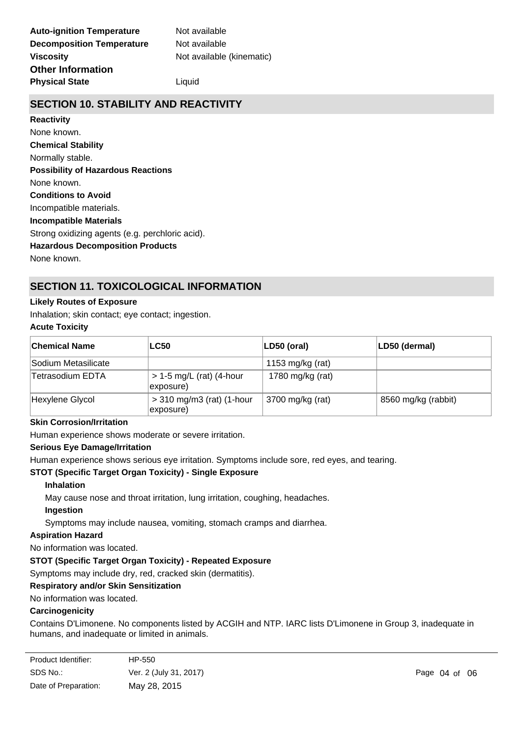# **SECTION 10. STABILITY AND REACTIVITY**

**Chemical Stability** Normally stable. **Conditions to Avoid** Incompatible materials. **Incompatible Materials** Strong oxidizing agents (e.g. perchloric acid). **Hazardous Decomposition Products** None known. **Possibility of Hazardous Reactions** None known. **Reactivity** None known.

# **SECTION 11. TOXICOLOGICAL INFORMATION**

# **Likely Routes of Exposure**

Inhalation; skin contact; eye contact; ingestion.

# **Acute Toxicity**

| ∣Chemical Name      | <b>LC50</b>                              | $ LD50$ (oral)   | LD50 (dermal)       |
|---------------------|------------------------------------------|------------------|---------------------|
| Sodium Metasilicate |                                          | 1153 mg/kg (rat) |                     |
| Tetrasodium EDTA    | $> 1-5$ mg/L (rat) (4-hour<br>exposure)  | 1780 mg/kg (rat) |                     |
| Hexylene Glycol     | $>$ 310 mg/m3 (rat) (1-hour<br>exposure) | 3700 mg/kg (rat) | 8560 mg/kg (rabbit) |

### **Skin Corrosion/Irritation**

Human experience shows moderate or severe irritation.

### **Serious Eye Damage/Irritation**

Human experience shows serious eye irritation. Symptoms include sore, red eyes, and tearing.

### **STOT (Specific Target Organ Toxicity) - Single Exposure**

### **Inhalation**

May cause nose and throat irritation, lung irritation, coughing, headaches.

### **Ingestion**

Symptoms may include nausea, vomiting, stomach cramps and diarrhea.

### **Aspiration Hazard**

No information was located.

### **STOT (Specific Target Organ Toxicity) - Repeated Exposure**

Symptoms may include dry, red, cracked skin (dermatitis).

### **Respiratory and/or Skin Sensitization**

### No information was located.

### **Carcinogenicity**

Contains D'Limonene. No components listed by ACGIH and NTP. IARC lists D'Limonene in Group 3, inadequate in humans, and inadequate or limited in animals.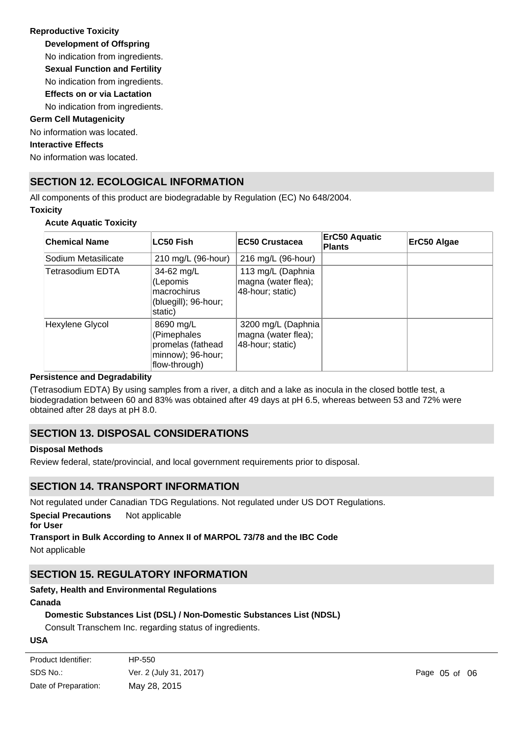## **Reproductive Toxicity**

**Development of Offspring**

No indication from ingredients.

**Sexual Function and Fertility**

No indication from ingredients.

**Effects on or via Lactation** No indication from ingredients.

# **Germ Cell Mutagenicity**

No information was located.

### **Interactive Effects**

No information was located.

# **SECTION 12. ECOLOGICAL INFORMATION**

All components of this product are biodegradable by Regulation (EC) No 648/2004. **Toxicity**

### **Acute Aquatic Toxicity**

| <b>Chemical Name</b> | LC50 Fish                                                                           | EC50 Crustacea                                                 | <b>ErC50 Aquatic</b><br><b>Plants</b> | ErC50 Algae |
|----------------------|-------------------------------------------------------------------------------------|----------------------------------------------------------------|---------------------------------------|-------------|
| Sodium Metasilicate  | 210 mg/L (96-hour)                                                                  | 216 mg/L (96-hour)                                             |                                       |             |
| Tetrasodium EDTA     | 34-62 mg/L<br>(Lepomis<br>macrochirus<br>(bluegill); 96-hour;<br>static)            | 113 mg/L (Daphnia<br>magna (water flea);<br>48-hour; static)   |                                       |             |
| Hexylene Glycol      | 8690 mg/L<br>(Pimephales<br>promelas (fathead<br>minnow); 96-hour;<br>flow-through) | 3200 mg/L (Daphnia)<br>magna (water flea);<br>48-hour; static) |                                       |             |

### **Persistence and Degradability**

(Tetrasodium EDTA) By using samples from a river, a ditch and a lake as inocula in the closed bottle test, a biodegradation between 60 and 83% was obtained after 49 days at pH 6.5, whereas between 53 and 72% were obtained after 28 days at pH 8.0.

# **SECTION 13. DISPOSAL CONSIDERATIONS**

### **Disposal Methods**

Review federal, state/provincial, and local government requirements prior to disposal.

# **SECTION 14. TRANSPORT INFORMATION**

Not regulated under Canadian TDG Regulations. Not regulated under US DOT Regulations.

**Special Precautions** Not applicable

### **for User**

**Transport in Bulk According to Annex II of MARPOL 73/78 and the IBC Code**

Not applicable

# **SECTION 15. REGULATORY INFORMATION**

## **Safety, Health and Environmental Regulations**

### **Canada**

## **Domestic Substances List (DSL) / Non-Domestic Substances List (NDSL)**

Consult Transchem Inc. regarding status of ingredients.

### **USA**